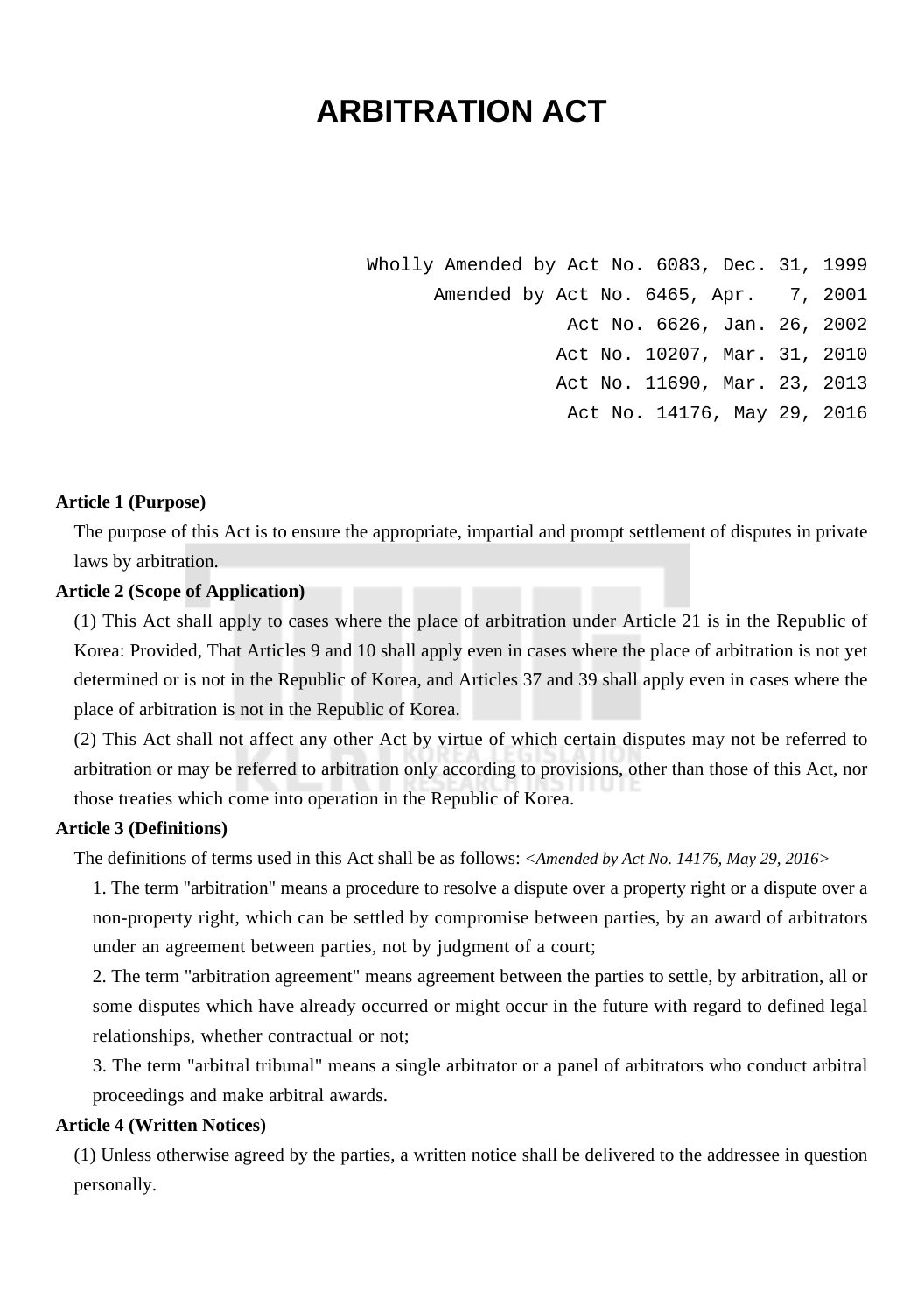# **ARBITRATION ACT**

Wholly Amended by Act No. 6083, Dec. 31, 1999 Amended by Act No. 6465, Apr. 7, 2001 Act No. 6626, Jan. 26, 2002 Act No. 10207, Mar. 31, 2010 Act No. 11690, Mar. 23, 2013 Act No. 14176, May 29, 2016

#### **Article 1 (Purpose)**

The purpose of this Act is to ensure the appropriate, impartial and prompt settlement of disputes in private laws by arbitration.

#### **Article 2 (Scope of Application)**

(1) This Act shall apply to cases where the place of arbitration under Article 21 is in the Republic of Korea: Provided, That Articles 9 and 10 shall apply even in cases where the place of arbitration is not yet determined or is not in the Republic of Korea, and Articles 37 and 39 shall apply even in cases where the place of arbitration is not in the Republic of Korea.

(2) This Act shall not affect any other Act by virtue of which certain disputes may not be referred to arbitration or may be referred to arbitration only according to provisions, other than those of this Act, nor those treaties which come into operation in the Republic of Korea.

## **Article 3 (Definitions)**

The definitions of terms used in this Act shall be as follows: *<Amended by Act No. 14176, May 29, 2016>*

1. The term "arbitration" means a procedure to resolve a dispute over a property right or a dispute over a non-property right, which can be settled by compromise between parties, by an award of arbitrators under an agreement between parties, not by judgment of a court;

2. The term "arbitration agreement" means agreement between the parties to settle, by arbitration, all or some disputes which have already occurred or might occur in the future with regard to defined legal relationships, whether contractual or not;

3. The term "arbitral tribunal" means a single arbitrator or a panel of arbitrators who conduct arbitral proceedings and make arbitral awards.

## **Article 4 (Written Notices)**

(1) Unless otherwise agreed by the parties, a written notice shall be delivered to the addressee in question personally.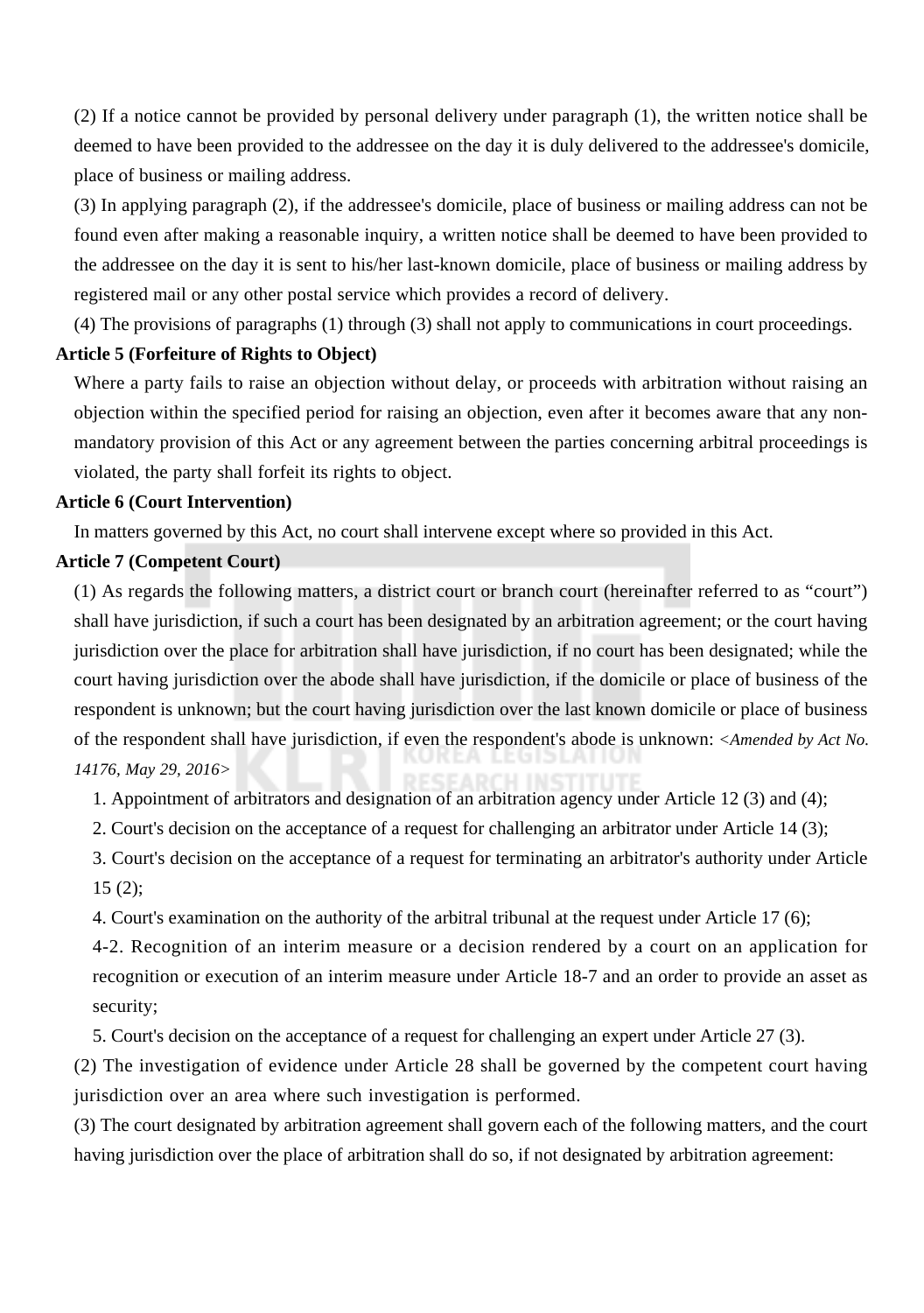(2) If a notice cannot be provided by personal delivery under paragraph (1), the written notice shall be deemed to have been provided to the addressee on the day it is duly delivered to the addressee's domicile, place of business or mailing address.

(3) In applying paragraph (2), if the addressee's domicile, place of business or mailing address can not be found even after making a reasonable inquiry, a written notice shall be deemed to have been provided to the addressee on the day it is sent to his/her last-known domicile, place of business or mailing address by registered mail or any other postal service which provides a record of delivery.

(4) The provisions of paragraphs (1) through (3) shall not apply to communications in court proceedings.

## **Article 5 (Forfeiture of Rights to Object)**

Where a party fails to raise an objection without delay, or proceeds with arbitration without raising an objection within the specified period for raising an objection, even after it becomes aware that any nonmandatory provision of this Act or any agreement between the parties concerning arbitral proceedings is violated, the party shall forfeit its rights to object.

## **Article 6 (Court Intervention)**

In matters governed by this Act, no court shall intervene except where so provided in this Act.

#### **Article 7 (Competent Court)**

(1) As regards the following matters, a district court or branch court (hereinafter referred to as "court") shall have jurisdiction, if such a court has been designated by an arbitration agreement; or the court having jurisdiction over the place for arbitration shall have jurisdiction, if no court has been designated; while the court having jurisdiction over the abode shall have jurisdiction, if the domicile or place of business of the respondent is unknown; but the court having jurisdiction over the last known domicile or place of business of the respondent shall have jurisdiction, if even the respondent's abode is unknown: *<Amended by Act No. 14176, May 29, 2016>*

1. Appointment of arbitrators and designation of an arbitration agency under Article 12 (3) and (4);

2. Court's decision on the acceptance of a request for challenging an arbitrator under Article 14 (3);

3. Court's decision on the acceptance of a request for terminating an arbitrator's authority under Article  $15(2)$ ;

4. Court's examination on the authority of the arbitral tribunal at the request under Article 17 (6);

4-2. Recognition of an interim measure or a decision rendered by a court on an application for recognition or execution of an interim measure under Article 18-7 and an order to provide an asset as security;

5. Court's decision on the acceptance of a request for challenging an expert under Article 27 (3).

(2) The investigation of evidence under Article 28 shall be governed by the competent court having jurisdiction over an area where such investigation is performed.

(3) The court designated by arbitration agreement shall govern each of the following matters, and the court having jurisdiction over the place of arbitration shall do so, if not designated by arbitration agreement: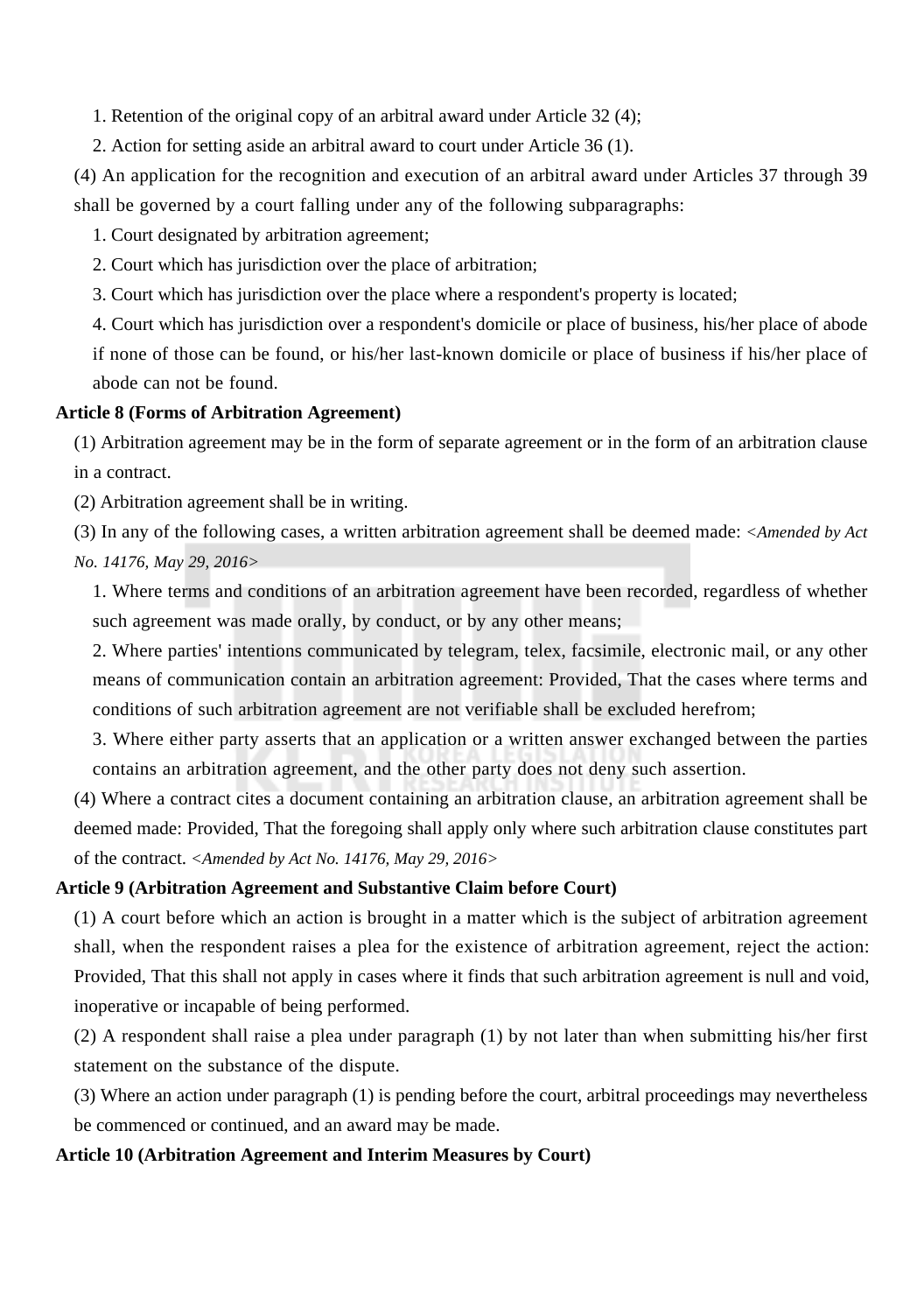1. Retention of the original copy of an arbitral award under Article 32 (4);

2. Action for setting aside an arbitral award to court under Article 36 (1).

(4) An application for the recognition and execution of an arbitral award under Articles 37 through 39 shall be governed by a court falling under any of the following subparagraphs:

1. Court designated by arbitration agreement;

2. Court which has jurisdiction over the place of arbitration;

3. Court which has jurisdiction over the place where a respondent's property is located;

4. Court which has jurisdiction over a respondent's domicile or place of business, his/her place of abode

if none of those can be found, or his/her last-known domicile or place of business if his/her place of abode can not be found.

## **Article 8 (Forms of Arbitration Agreement)**

(1) Arbitration agreement may be in the form of separate agreement or in the form of an arbitration clause in a contract.

(2) Arbitration agreement shall be in writing.

(3) In any of the following cases, a written arbitration agreement shall be deemed made: *<Amended by Act No. 14176, May 29, 2016>*

1. Where terms and conditions of an arbitration agreement have been recorded, regardless of whether such agreement was made orally, by conduct, or by any other means;

2. Where parties' intentions communicated by telegram, telex, facsimile, electronic mail, or any other means of communication contain an arbitration agreement: Provided, That the cases where terms and conditions of such arbitration agreement are not verifiable shall be excluded herefrom;

3. Where either party asserts that an application or a written answer exchanged between the parties contains an arbitration agreement, and the other party does not deny such assertion.

(4) Where a contract cites a document containing an arbitration clause, an arbitration agreement shall be deemed made: Provided, That the foregoing shall apply only where such arbitration clause constitutes part of the contract. *<Amended by Act No. 14176, May 29, 2016>*

#### **Article 9 (Arbitration Agreement and Substantive Claim before Court)**

(1) A court before which an action is brought in a matter which is the subject of arbitration agreement shall, when the respondent raises a plea for the existence of arbitration agreement, reject the action: Provided, That this shall not apply in cases where it finds that such arbitration agreement is null and void, inoperative or incapable of being performed.

(2) A respondent shall raise a plea under paragraph (1) by not later than when submitting his/her first statement on the substance of the dispute.

(3) Where an action under paragraph (1) is pending before the court, arbitral proceedings may nevertheless be commenced or continued, and an award may be made.

## **Article 10 (Arbitration Agreement and Interim Measures by Court)**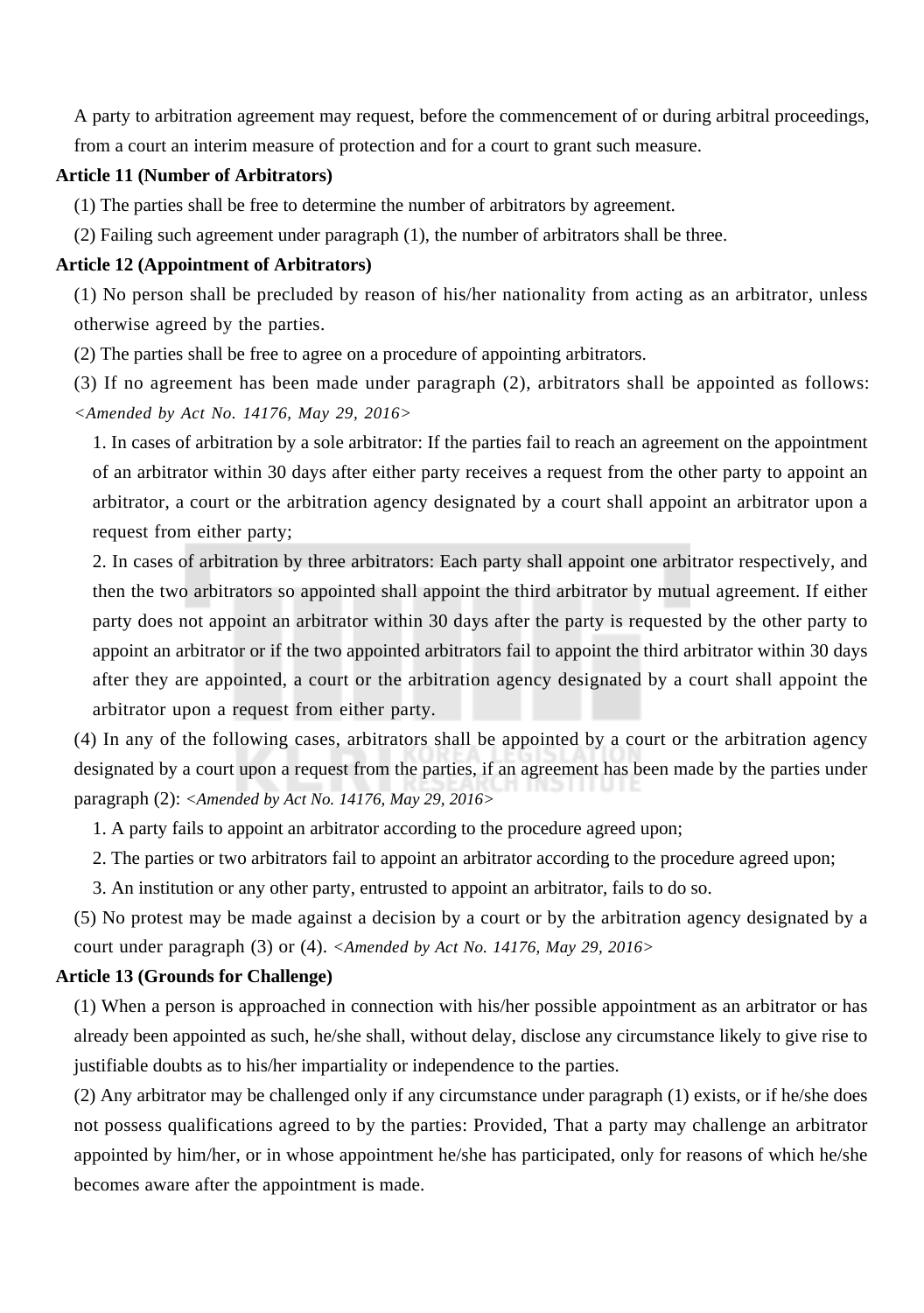A party to arbitration agreement may request, before the commencement of or during arbitral proceedings, from a court an interim measure of protection and for a court to grant such measure.

#### **Article 11 (Number of Arbitrators)**

(1) The parties shall be free to determine the number of arbitrators by agreement.

(2) Failing such agreement under paragraph (1), the number of arbitrators shall be three.

## **Article 12 (Appointment of Arbitrators)**

(1) No person shall be precluded by reason of his/her nationality from acting as an arbitrator, unless otherwise agreed by the parties.

(2) The parties shall be free to agree on a procedure of appointing arbitrators.

(3) If no agreement has been made under paragraph (2), arbitrators shall be appointed as follows: *<Amended by Act No. 14176, May 29, 2016>*

1. In cases of arbitration by a sole arbitrator: If the parties fail to reach an agreement on the appointment of an arbitrator within 30 days after either party receives a request from the other party to appoint an arbitrator, a court or the arbitration agency designated by a court shall appoint an arbitrator upon a request from either party;

2. In cases of arbitration by three arbitrators: Each party shall appoint one arbitrator respectively, and then the two arbitrators so appointed shall appoint the third arbitrator by mutual agreement. If either party does not appoint an arbitrator within 30 days after the party is requested by the other party to appoint an arbitrator or if the two appointed arbitrators fail to appoint the third arbitrator within 30 days after they are appointed, a court or the arbitration agency designated by a court shall appoint the arbitrator upon a request from either party.

(4) In any of the following cases, arbitrators shall be appointed by a court or the arbitration agency designated by a court upon a request from the parties, if an agreement has been made by the parties under paragraph (2): *<Amended by Act No. 14176, May 29, 2016>*

1. A party fails to appoint an arbitrator according to the procedure agreed upon;

2. The parties or two arbitrators fail to appoint an arbitrator according to the procedure agreed upon;

3. An institution or any other party, entrusted to appoint an arbitrator, fails to do so.

(5) No protest may be made against a decision by a court or by the arbitration agency designated by a court under paragraph (3) or (4). *<Amended by Act No. 14176, May 29, 2016>*

## **Article 13 (Grounds for Challenge)**

(1) When a person is approached in connection with his/her possible appointment as an arbitrator or has already been appointed as such, he/she shall, without delay, disclose any circumstance likely to give rise to justifiable doubts as to his/her impartiality or independence to the parties.

(2) Any arbitrator may be challenged only if any circumstance under paragraph (1) exists, or if he/she does not possess qualifications agreed to by the parties: Provided, That a party may challenge an arbitrator appointed by him/her, or in whose appointment he/she has participated, only for reasons of which he/she becomes aware after the appointment is made.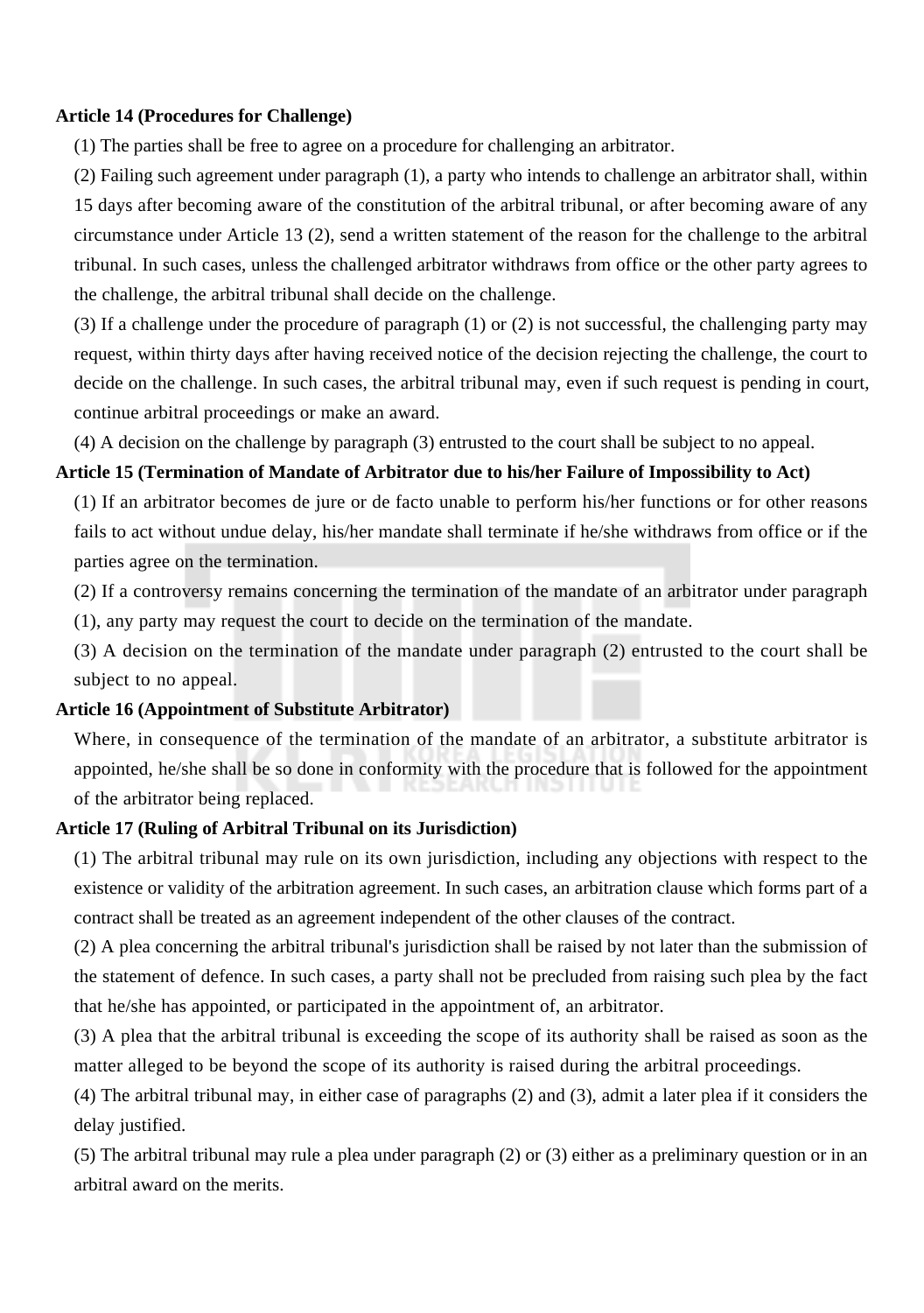#### **Article 14 (Procedures for Challenge)**

(1) The parties shall be free to agree on a procedure for challenging an arbitrator.

(2) Failing such agreement under paragraph (1), a party who intends to challenge an arbitrator shall, within 15 days after becoming aware of the constitution of the arbitral tribunal, or after becoming aware of any circumstance under Article 13 (2), send a written statement of the reason for the challenge to the arbitral tribunal. In such cases, unless the challenged arbitrator withdraws from office or the other party agrees to the challenge, the arbitral tribunal shall decide on the challenge.

(3) If a challenge under the procedure of paragraph (1) or (2) is not successful, the challenging party may request, within thirty days after having received notice of the decision rejecting the challenge, the court to decide on the challenge. In such cases, the arbitral tribunal may, even if such request is pending in court, continue arbitral proceedings or make an award.

(4) A decision on the challenge by paragraph (3) entrusted to the court shall be subject to no appeal.

#### **Article 15 (Termination of Mandate of Arbitrator due to his/her Failure of Impossibility to Act)**

(1) If an arbitrator becomes de jure or de facto unable to perform his/her functions or for other reasons fails to act without undue delay, his/her mandate shall terminate if he/she withdraws from office or if the parties agree on the termination.

(2) If a controversy remains concerning the termination of the mandate of an arbitrator under paragraph

(1), any party may request the court to decide on the termination of the mandate.

(3) A decision on the termination of the mandate under paragraph (2) entrusted to the court shall be subject to no appeal.

#### **Article 16 (Appointment of Substitute Arbitrator)**

Where, in consequence of the termination of the mandate of an arbitrator, a substitute arbitrator is appointed, he/she shall be so done in conformity with the procedure that is followed for the appointment of the arbitrator being replaced.

#### **Article 17 (Ruling of Arbitral Tribunal on its Jurisdiction)**

(1) The arbitral tribunal may rule on its own jurisdiction, including any objections with respect to the existence or validity of the arbitration agreement. In such cases, an arbitration clause which forms part of a contract shall be treated as an agreement independent of the other clauses of the contract.

(2) A plea concerning the arbitral tribunal's jurisdiction shall be raised by not later than the submission of the statement of defence. In such cases, a party shall not be precluded from raising such plea by the fact that he/she has appointed, or participated in the appointment of, an arbitrator.

(3) A plea that the arbitral tribunal is exceeding the scope of its authority shall be raised as soon as the matter alleged to be beyond the scope of its authority is raised during the arbitral proceedings.

(4) The arbitral tribunal may, in either case of paragraphs (2) and (3), admit a later plea if it considers the delay justified.

(5) The arbitral tribunal may rule a plea under paragraph (2) or (3) either as a preliminary question or in an arbitral award on the merits.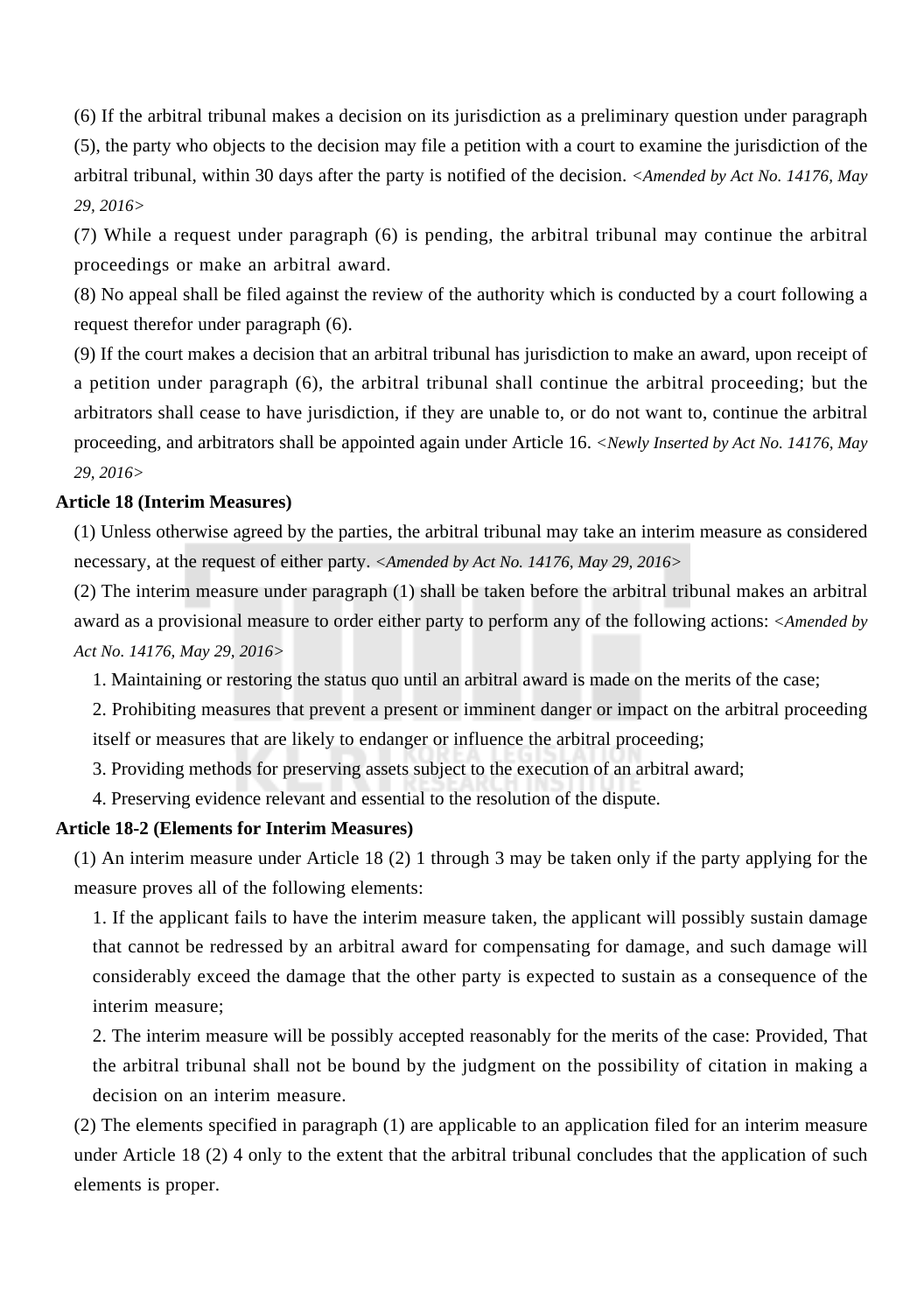(6) If the arbitral tribunal makes a decision on its jurisdiction as a preliminary question under paragraph (5), the party who objects to the decision may file a petition with a court to examine the jurisdiction of the arbitral tribunal, within 30 days after the party is notified of the decision. *<Amended by Act No. 14176, May 29, 2016>*

(7) While a request under paragraph (6) is pending, the arbitral tribunal may continue the arbitral proceedings or make an arbitral award.

(8) No appeal shall be filed against the review of the authority which is conducted by a court following a request therefor under paragraph (6).

(9) If the court makes a decision that an arbitral tribunal has jurisdiction to make an award, upon receipt of a petition under paragraph (6), the arbitral tribunal shall continue the arbitral proceeding; but the arbitrators shall cease to have jurisdiction, if they are unable to, or do not want to, continue the arbitral proceeding, and arbitrators shall be appointed again under Article 16. *<Newly Inserted by Act No. 14176, May 29, 2016>*

#### **Article 18 (Interim Measures)**

(1) Unless otherwise agreed by the parties, the arbitral tribunal may take an interim measure as considered necessary, at the request of either party. *<Amended by Act No. 14176, May 29, 2016>*

(2) The interim measure under paragraph (1) shall be taken before the arbitral tribunal makes an arbitral award as a provisional measure to order either party to perform any of the following actions: *<Amended by Act No. 14176, May 29, 2016>*

1. Maintaining or restoring the status quo until an arbitral award is made on the merits of the case;

2. Prohibiting measures that prevent a present or imminent danger or impact on the arbitral proceeding itself or measures that are likely to endanger or influence the arbitral proceeding;

3. Providing methods for preserving assets subject to the execution of an arbitral award;

4. Preserving evidence relevant and essential to the resolution of the dispute.

#### **Article 18-2 (Elements for Interim Measures)**

(1) An interim measure under Article 18 (2) 1 through 3 may be taken only if the party applying for the measure proves all of the following elements:

1. If the applicant fails to have the interim measure taken, the applicant will possibly sustain damage that cannot be redressed by an arbitral award for compensating for damage, and such damage will considerably exceed the damage that the other party is expected to sustain as a consequence of the interim measure;

2. The interim measure will be possibly accepted reasonably for the merits of the case: Provided, That the arbitral tribunal shall not be bound by the judgment on the possibility of citation in making a decision on an interim measure.

(2) The elements specified in paragraph (1) are applicable to an application filed for an interim measure under Article 18 (2) 4 only to the extent that the arbitral tribunal concludes that the application of such elements is proper.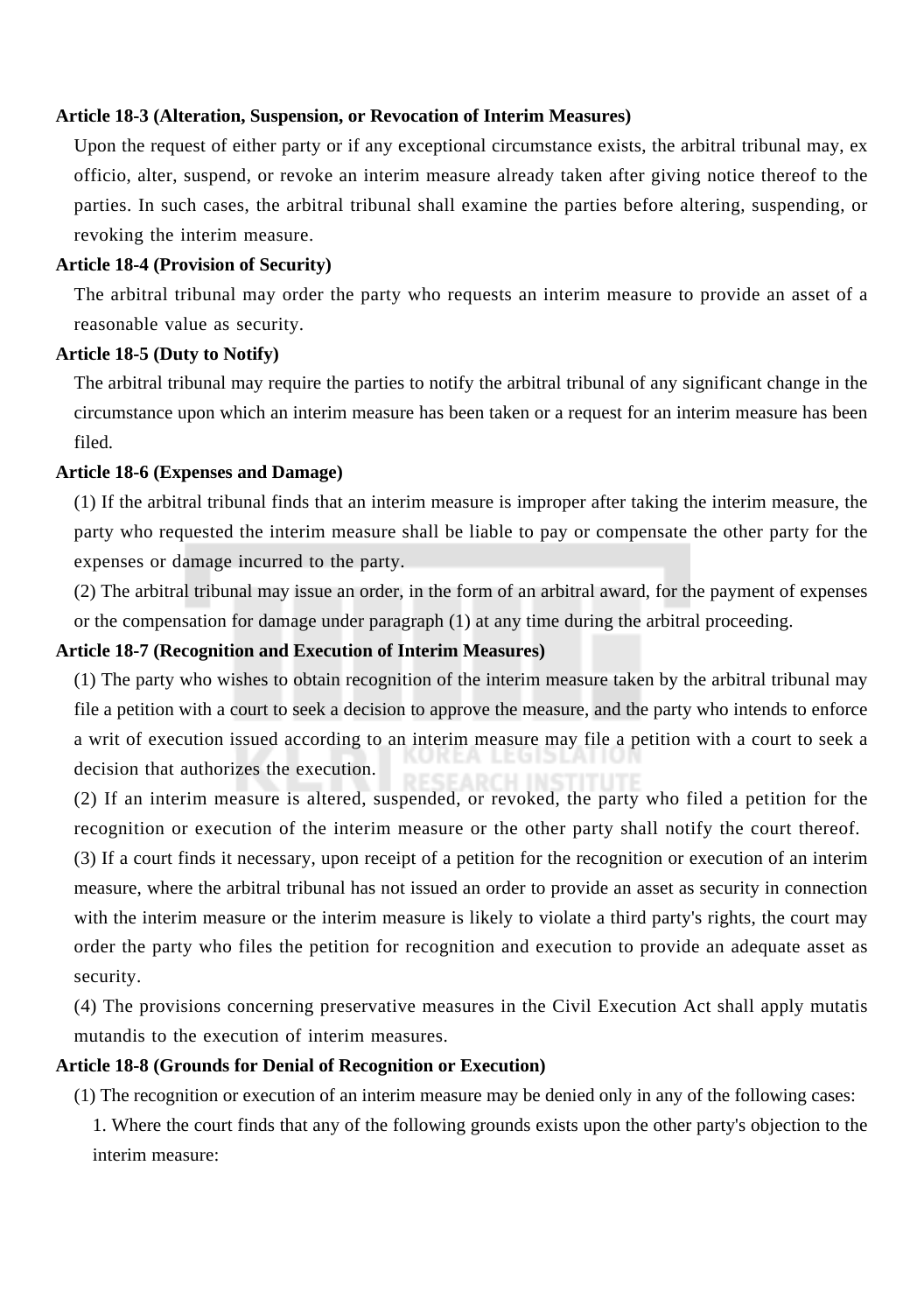#### **Article 18-3 (Alteration, Suspension, or Revocation of Interim Measures)**

Upon the request of either party or if any exceptional circumstance exists, the arbitral tribunal may, ex officio, alter, suspend, or revoke an interim measure already taken after giving notice thereof to the parties. In such cases, the arbitral tribunal shall examine the parties before altering, suspending, or revoking the interim measure.

#### **Article 18-4 (Provision of Security)**

The arbitral tribunal may order the party who requests an interim measure to provide an asset of a reasonable value as security.

## **Article 18-5 (Duty to Notify)**

The arbitral tribunal may require the parties to notify the arbitral tribunal of any significant change in the circumstance upon which an interim measure has been taken or a request for an interim measure has been filed.

#### **Article 18-6 (Expenses and Damage)**

(1) If the arbitral tribunal finds that an interim measure is improper after taking the interim measure, the party who requested the interim measure shall be liable to pay or compensate the other party for the expenses or damage incurred to the party.

(2) The arbitral tribunal may issue an order, in the form of an arbitral award, for the payment of expenses or the compensation for damage under paragraph (1) at any time during the arbitral proceeding.

## **Article 18-7 (Recognition and Execution of Interim Measures)**

(1) The party who wishes to obtain recognition of the interim measure taken by the arbitral tribunal may file a petition with a court to seek a decision to approve the measure, and the party who intends to enforce a writ of execution issued according to an interim measure may file a petition with a court to seek a decision that authorizes the execution.

decision that authorizes the execution.<br>(2) If an interim measure is altered, suspended, or revoked, the party who filed a petition for the recognition or execution of the interim measure or the other party shall notify the court thereof.

(3) If a court finds it necessary, upon receipt of a petition for the recognition or execution of an interim measure, where the arbitral tribunal has not issued an order to provide an asset as security in connection with the interim measure or the interim measure is likely to violate a third party's rights, the court may order the party who files the petition for recognition and execution to provide an adequate asset as security.

(4) The provisions concerning preservative measures in the Civil Execution Act shall apply mutatis mutandis to the execution of interim measures.

## **Article 18-8 (Grounds for Denial of Recognition or Execution)**

(1) The recognition or execution of an interim measure may be denied only in any of the following cases: 1. Where the court finds that any of the following grounds exists upon the other party's objection to the interim measure: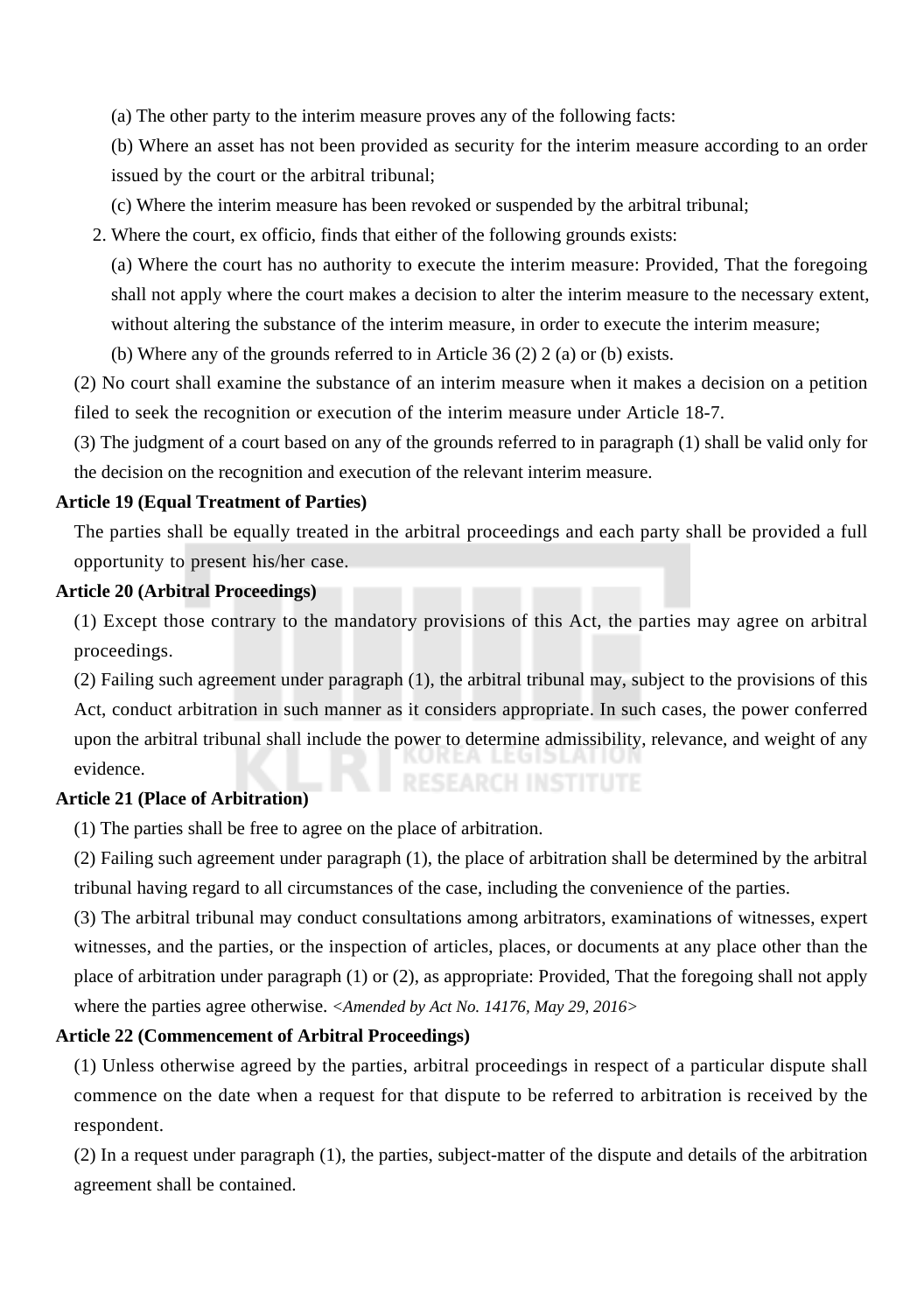(a) The other party to the interim measure proves any of the following facts:

(b) Where an asset has not been provided as security for the interim measure according to an order issued by the court or the arbitral tribunal;

(c) Where the interim measure has been revoked or suspended by the arbitral tribunal;

2. Where the court, ex officio, finds that either of the following grounds exists:

(a) Where the court has no authority to execute the interim measure: Provided, That the foregoing shall not apply where the court makes a decision to alter the interim measure to the necessary extent, without altering the substance of the interim measure, in order to execute the interim measure;

(b) Where any of the grounds referred to in Article 36 (2) 2 (a) or (b) exists.

(2) No court shall examine the substance of an interim measure when it makes a decision on a petition filed to seek the recognition or execution of the interim measure under Article 18-7.

(3) The judgment of a court based on any of the grounds referred to in paragraph (1) shall be valid only for the decision on the recognition and execution of the relevant interim measure.

#### **Article 19 (Equal Treatment of Parties)**

The parties shall be equally treated in the arbitral proceedings and each party shall be provided a full opportunity to present his/her case.

#### **Article 20 (Arbitral Proceedings)**

(1) Except those contrary to the mandatory provisions of this Act, the parties may agree on arbitral proceedings.

(2) Failing such agreement under paragraph (1), the arbitral tribunal may, subject to the provisions of this Act, conduct arbitration in such manner as it considers appropriate. In such cases, the power conferred upon the arbitral tribunal shall include the power to determine admissibility, relevance, and weight of any evidence.

## **Article 21 (Place of Arbitration)**

(1) The parties shall be free to agree on the place of arbitration.

(2) Failing such agreement under paragraph (1), the place of arbitration shall be determined by the arbitral tribunal having regard to all circumstances of the case, including the convenience of the parties.

(3) The arbitral tribunal may conduct consultations among arbitrators, examinations of witnesses, expert witnesses, and the parties, or the inspection of articles, places, or documents at any place other than the place of arbitration under paragraph (1) or (2), as appropriate: Provided, That the foregoing shall not apply where the parties agree otherwise. *<Amended by Act No. 14176, May 29, 2016>*

## **Article 22 (Commencement of Arbitral Proceedings)**

(1) Unless otherwise agreed by the parties, arbitral proceedings in respect of a particular dispute shall commence on the date when a request for that dispute to be referred to arbitration is received by the respondent.

(2) In a request under paragraph (1), the parties, subject-matter of the dispute and details of the arbitration agreement shall be contained.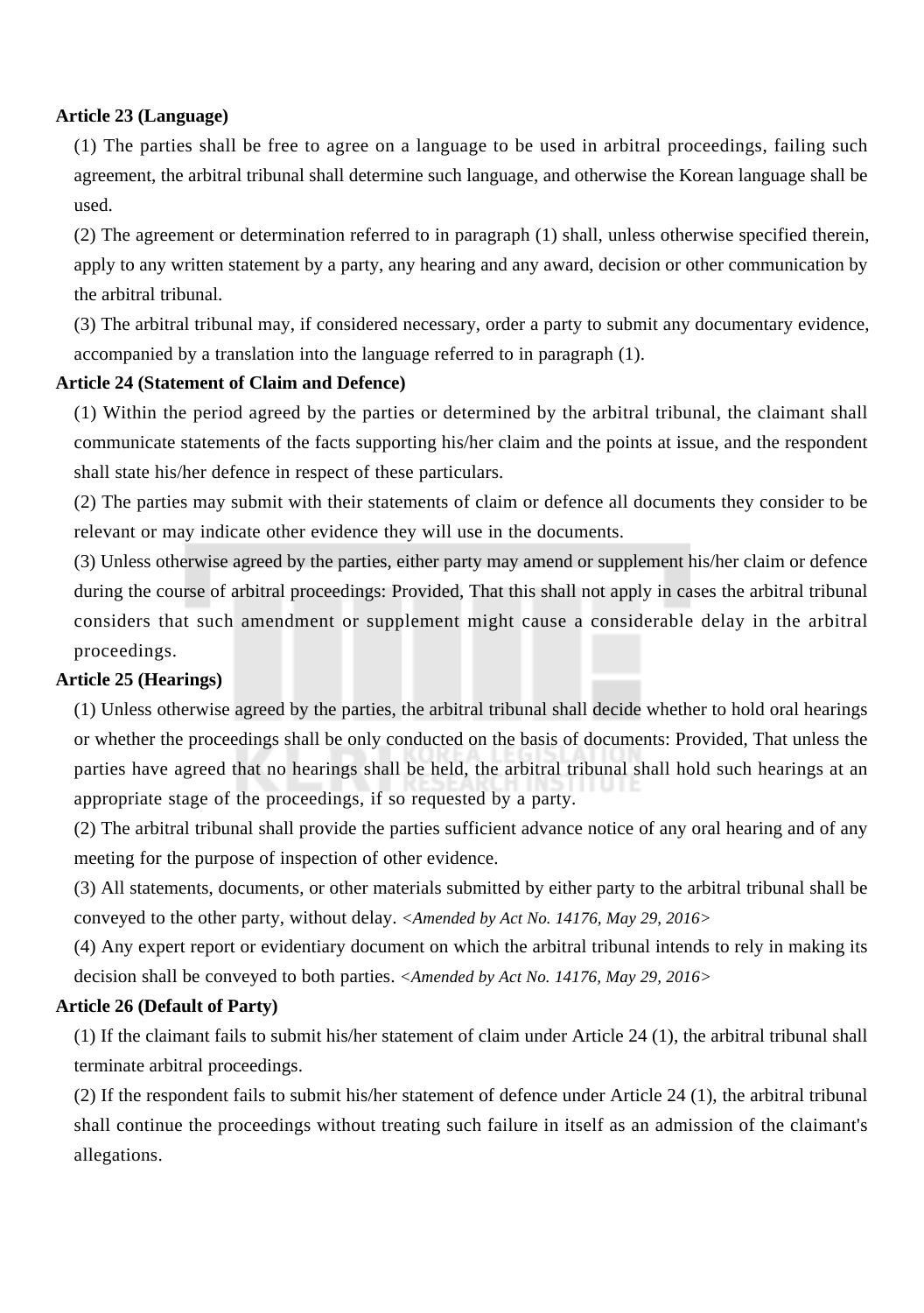## **Article 23 (Language)**

(1) The parties shall be free to agree on a language to be used in arbitral proceedings, failing such agreement, the arbitral tribunal shall determine such language, and otherwise the Korean language shall be used.

(2) The agreement or determination referred to in paragraph (1) shall, unless otherwise specified therein, apply to any written statement by a party, any hearing and any award, decision or other communication by the arbitral tribunal.

(3) The arbitral tribunal may, if considered necessary, order a party to submit any documentary evidence, accompanied by a translation into the language referred to in paragraph (1).

## **Article 24 (Statement of Claim and Defence)**

(1) Within the period agreed by the parties or determined by the arbitral tribunal, the claimant shall communicate statements of the facts supporting his/her claim and the points at issue, and the respondent shall state his/her defence in respect of these particulars.

(2) The parties may submit with their statements of claim or defence all documents they consider to be relevant or may indicate other evidence they will use in the documents.

(3) Unless otherwise agreed by the parties, either party may amend or supplement his/her claim or defence during the course of arbitral proceedings: Provided, That this shall not apply in cases the arbitral tribunal considers that such amendment or supplement might cause a considerable delay in the arbitral proceedings.

#### **Article 25 (Hearings)**

(1) Unless otherwise agreed by the parties, the arbitral tribunal shall decide whether to hold oral hearings or whether the proceedings shall be only conducted on the basis of documents: Provided, That unless the parties have agreed that no hearings shall be held, the arbitral tribunal shall hold such hearings at an appropriate stage of the proceedings, if so requested by a party.

(2) The arbitral tribunal shall provide the parties sufficient advance notice of any oral hearing and of any meeting for the purpose of inspection of other evidence.

(3) All statements, documents, or other materials submitted by either party to the arbitral tribunal shall be conveyed to the other party, without delay. *<Amended by Act No. 14176, May 29, 2016>*

(4) Any expert report or evidentiary document on which the arbitral tribunal intends to rely in making its decision shall be conveyed to both parties. *<Amended by Act No. 14176, May 29, 2016>*

#### **Article 26 (Default of Party)**

(1) If the claimant fails to submit his/her statement of claim under Article 24 (1), the arbitral tribunal shall terminate arbitral proceedings.

(2) If the respondent fails to submit his/her statement of defence under Article 24 (1), the arbitral tribunal shall continue the proceedings without treating such failure in itself as an admission of the claimant's allegations.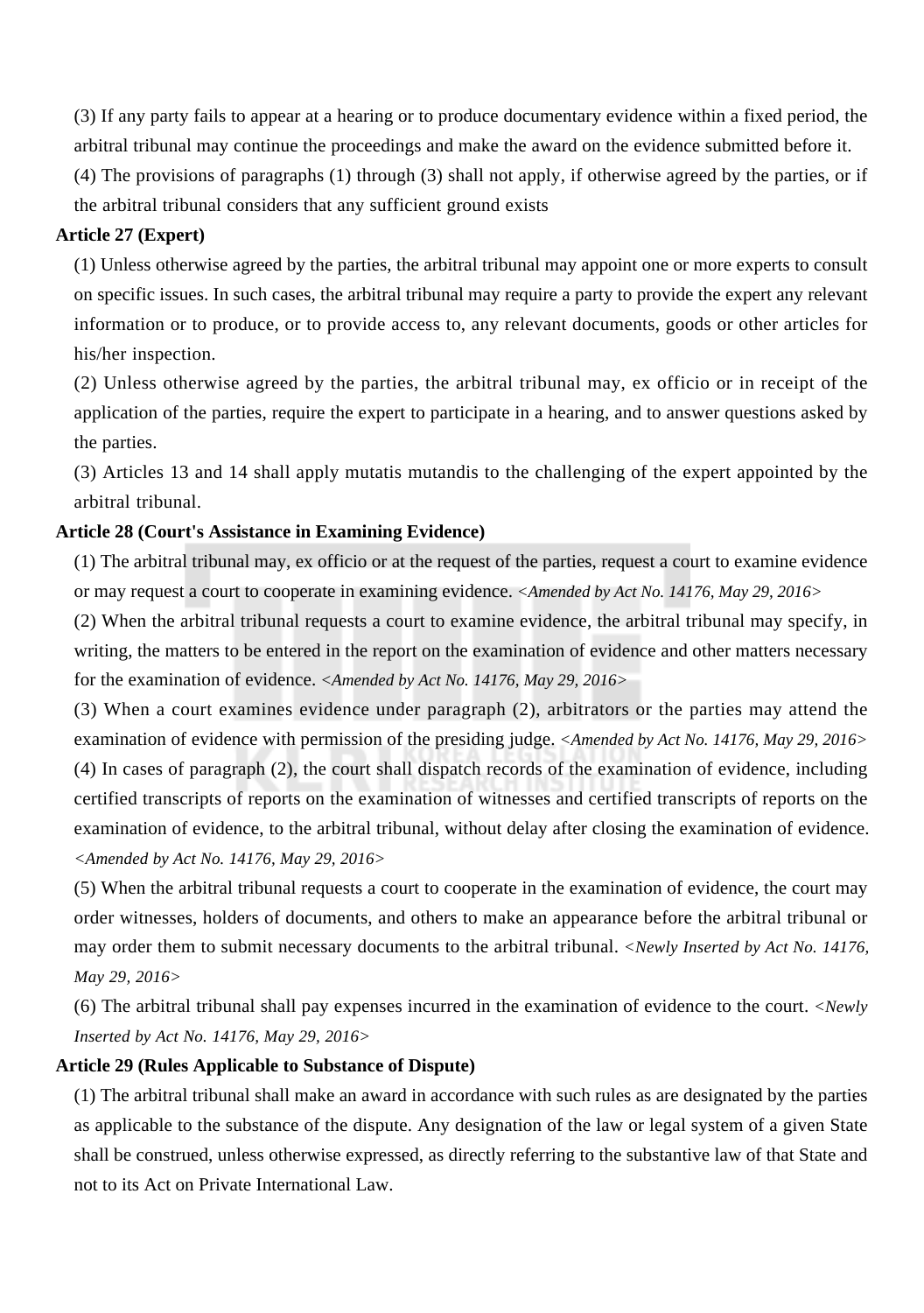(3) If any party fails to appear at a hearing or to produce documentary evidence within a fixed period, the arbitral tribunal may continue the proceedings and make the award on the evidence submitted before it.

(4) The provisions of paragraphs (1) through (3) shall not apply, if otherwise agreed by the parties, or if the arbitral tribunal considers that any sufficient ground exists

## **Article 27 (Expert)**

(1) Unless otherwise agreed by the parties, the arbitral tribunal may appoint one or more experts to consult on specific issues. In such cases, the arbitral tribunal may require a party to provide the expert any relevant information or to produce, or to provide access to, any relevant documents, goods or other articles for his/her inspection.

(2) Unless otherwise agreed by the parties, the arbitral tribunal may, ex officio or in receipt of the application of the parties, require the expert to participate in a hearing, and to answer questions asked by the parties.

(3) Articles 13 and 14 shall apply mutatis mutandis to the challenging of the expert appointed by the arbitral tribunal.

## **Article 28 (Court's Assistance in Examining Evidence)**

(1) The arbitral tribunal may, ex officio or at the request of the parties, request a court to examine evidence or may request a court to cooperate in examining evidence. *<Amended by Act No. 14176, May 29, 2016>*

(2) When the arbitral tribunal requests a court to examine evidence, the arbitral tribunal may specify, in writing, the matters to be entered in the report on the examination of evidence and other matters necessary for the examination of evidence. *<Amended by Act No. 14176, May 29, 2016>*

(3) When a court examines evidence under paragraph (2), arbitrators or the parties may attend the examination of evidence with permission of the presiding judge. *<Amended by Act No. 14176, May 29, 2016>* (4) In cases of paragraph (2), the court shall dispatch records of the examination of evidence, including certified transcripts of reports on the examination of witnesses and certified transcripts of reports on the examination of evidence, to the arbitral tribunal, without delay after closing the examination of evidence. *<Amended by Act No. 14176, May 29, 2016>*

(5) When the arbitral tribunal requests a court to cooperate in the examination of evidence, the court may order witnesses, holders of documents, and others to make an appearance before the arbitral tribunal or may order them to submit necessary documents to the arbitral tribunal. *<Newly Inserted by Act No. 14176, May 29, 2016>*

(6) The arbitral tribunal shall pay expenses incurred in the examination of evidence to the court. *<Newly Inserted by Act No. 14176, May 29, 2016>*

#### **Article 29 (Rules Applicable to Substance of Dispute)**

(1) The arbitral tribunal shall make an award in accordance with such rules as are designated by the parties as applicable to the substance of the dispute. Any designation of the law or legal system of a given State shall be construed, unless otherwise expressed, as directly referring to the substantive law of that State and not to its Act on Private International Law.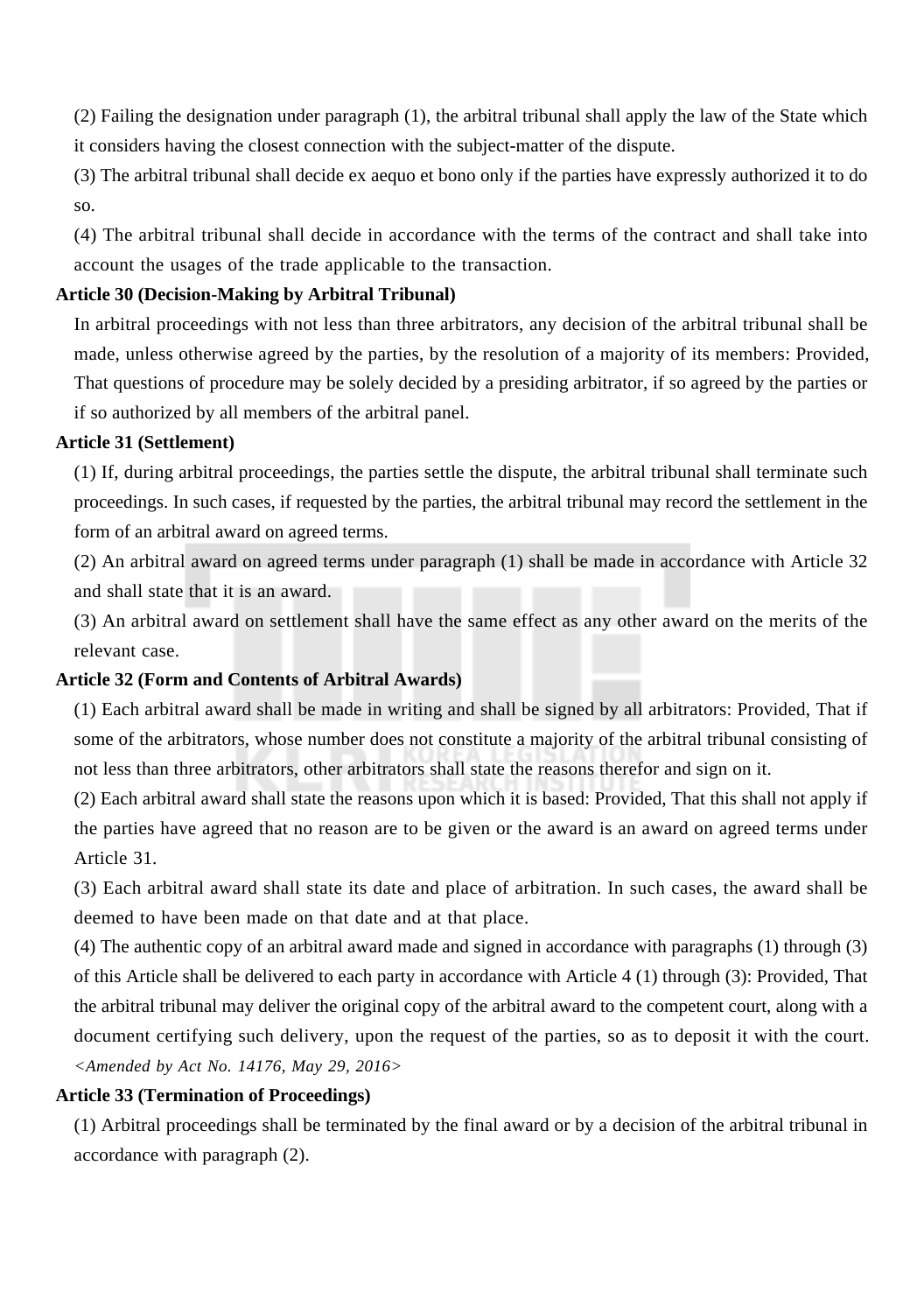(2) Failing the designation under paragraph (1), the arbitral tribunal shall apply the law of the State which it considers having the closest connection with the subject-matter of the dispute.

(3) The arbitral tribunal shall decide ex aequo et bono only if the parties have expressly authorized it to do so.

(4) The arbitral tribunal shall decide in accordance with the terms of the contract and shall take into account the usages of the trade applicable to the transaction.

## **Article 30 (Decision-Making by Arbitral Tribunal)**

In arbitral proceedings with not less than three arbitrators, any decision of the arbitral tribunal shall be made, unless otherwise agreed by the parties, by the resolution of a majority of its members: Provided, That questions of procedure may be solely decided by a presiding arbitrator, if so agreed by the parties or if so authorized by all members of the arbitral panel.

## **Article 31 (Settlement)**

(1) If, during arbitral proceedings, the parties settle the dispute, the arbitral tribunal shall terminate such proceedings. In such cases, if requested by the parties, the arbitral tribunal may record the settlement in the form of an arbitral award on agreed terms.

(2) An arbitral award on agreed terms under paragraph (1) shall be made in accordance with Article 32 and shall state that it is an award.

(3) An arbitral award on settlement shall have the same effect as any other award on the merits of the relevant case.

## **Article 32 (Form and Contents of Arbitral Awards)**

(1) Each arbitral award shall be made in writing and shall be signed by all arbitrators: Provided, That if some of the arbitrators, whose number does not constitute a majority of the arbitral tribunal consisting of not less than three arbitrators, other arbitrators shall state the reasons therefor and sign on it.

(2) Each arbitral award shall state the reasons upon which it is based: Provided, That this shall not apply if the parties have agreed that no reason are to be given or the award is an award on agreed terms under Article 31.

(3) Each arbitral award shall state its date and place of arbitration. In such cases, the award shall be deemed to have been made on that date and at that place.

(4) The authentic copy of an arbitral award made and signed in accordance with paragraphs (1) through (3) of this Article shall be delivered to each party in accordance with Article 4 (1) through (3): Provided, That the arbitral tribunal may deliver the original copy of the arbitral award to the competent court, along with a document certifying such delivery, upon the request of the parties, so as to deposit it with the court. *<Amended by Act No. 14176, May 29, 2016>*

## **Article 33 (Termination of Proceedings)**

(1) Arbitral proceedings shall be terminated by the final award or by a decision of the arbitral tribunal in accordance with paragraph (2).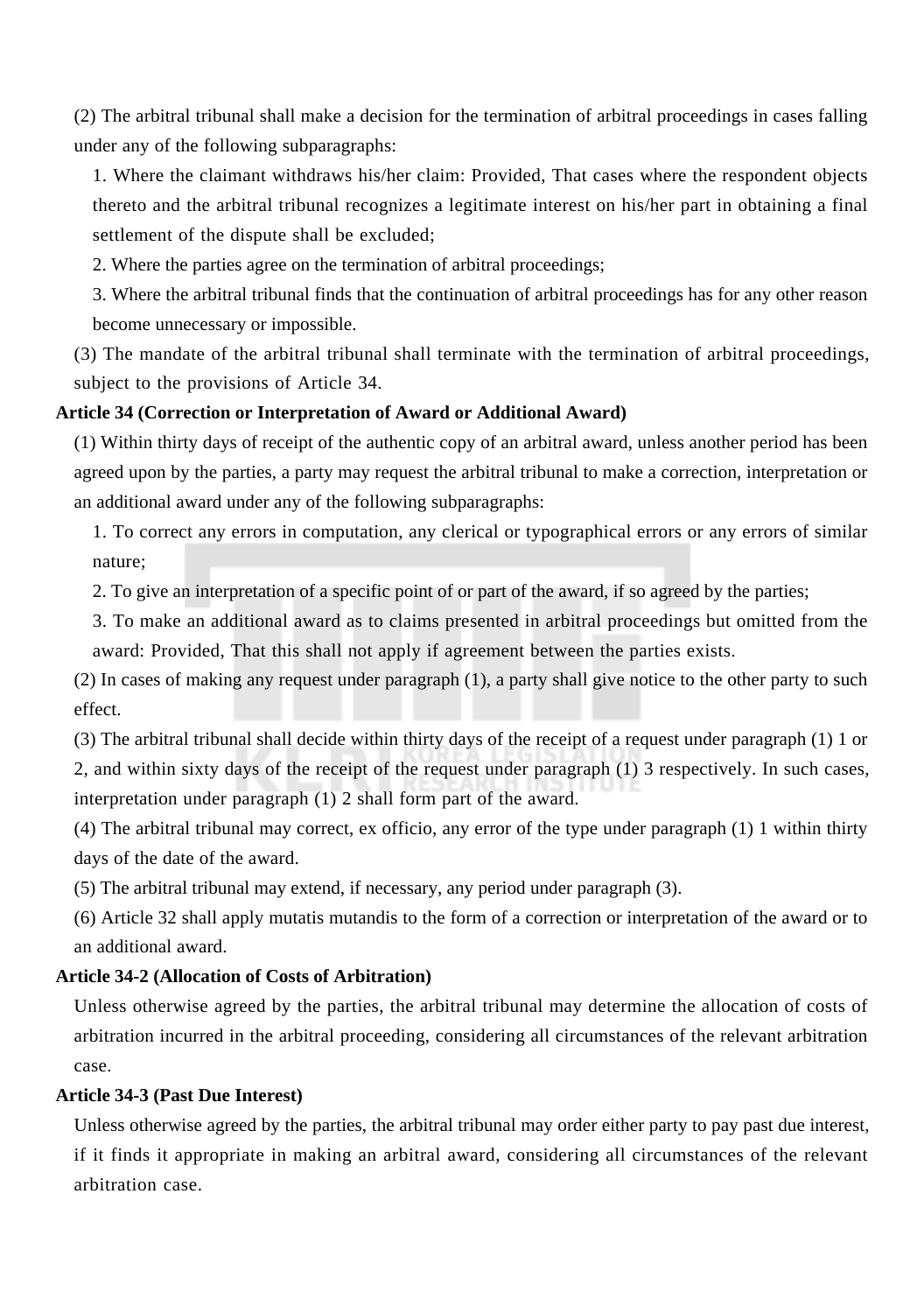(2) The arbitral tribunal shall make a decision for the termination of arbitral proceedings in cases falling under any of the following subparagraphs:

1. Where the claimant withdraws his/her claim: Provided, That cases where the respondent objects thereto and the arbitral tribunal recognizes a legitimate interest on his/her part in obtaining a final settlement of the dispute shall be excluded;

2. Where the parties agree on the termination of arbitral proceedings;

3. Where the arbitral tribunal finds that the continuation of arbitral proceedings has for any other reason become unnecessary or impossible.

(3) The mandate of the arbitral tribunal shall terminate with the termination of arbitral proceedings, subject to the provisions of Article 34.

## **Article 34 (Correction or Interpretation of Award or Additional Award)**

(1) Within thirty days of receipt of the authentic copy of an arbitral award, unless another period has been agreed upon by the parties, a party may request the arbitral tribunal to make a correction, interpretation or an additional award under any of the following subparagraphs:

1. To correct any errors in computation, any clerical or typographical errors or any errors of similar nature;

2. To give an interpretation of a specific point of or part of the award, if so agreed by the parties;

3. To make an additional award as to claims presented in arbitral proceedings but omitted from the award: Provided, That this shall not apply if agreement between the parties exists.

(2) In cases of making any request under paragraph (1), a party shall give notice to the other party to such effect.

(3) The arbitral tribunal shall decide within thirty days of the receipt of a request under paragraph (1) 1 or 2, and within sixty days of the receipt of the request under paragraph (1) 3 respectively. In such cases, interpretation under paragraph (1) 2 shall form part of the award.

(4) The arbitral tribunal may correct, ex officio, any error of the type under paragraph (1) 1 within thirty days of the date of the award.

(5) The arbitral tribunal may extend, if necessary, any period under paragraph (3).

(6) Article 32 shall apply mutatis mutandis to the form of a correction or interpretation of the award or to an additional award.

## **Article 34-2 (Allocation of Costs of Arbitration)**

Unless otherwise agreed by the parties, the arbitral tribunal may determine the allocation of costs of arbitration incurred in the arbitral proceeding, considering all circumstances of the relevant arbitration case.

## **Article 34-3 (Past Due Interest)**

Unless otherwise agreed by the parties, the arbitral tribunal may order either party to pay past due interest, if it finds it appropriate in making an arbitral award, considering all circumstances of the relevant arbitration case.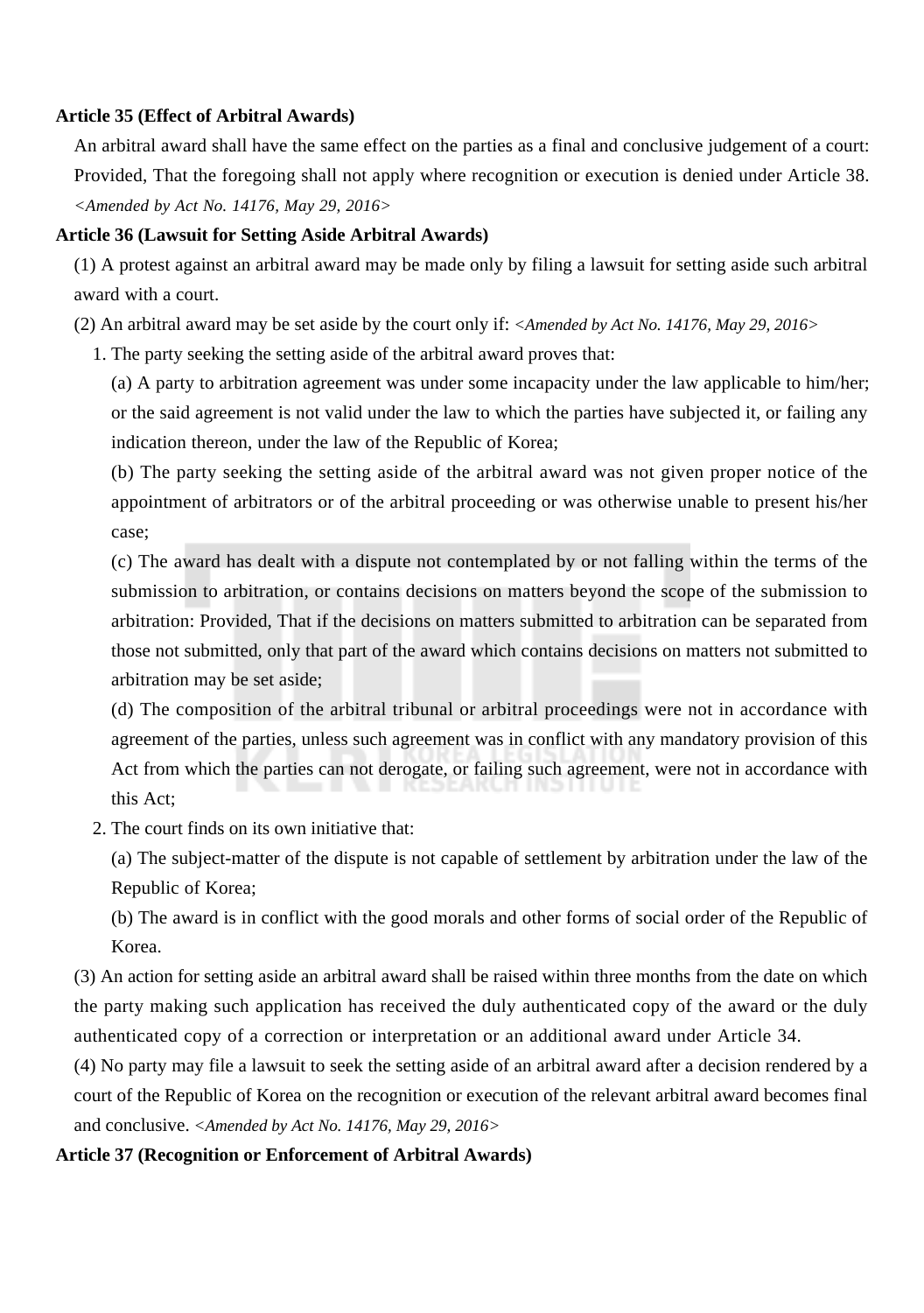#### **Article 35 (Effect of Arbitral Awards)**

An arbitral award shall have the same effect on the parties as a final and conclusive judgement of a court: Provided, That the foregoing shall not apply where recognition or execution is denied under Article 38. *<Amended by Act No. 14176, May 29, 2016>*

#### **Article 36 (Lawsuit for Setting Aside Arbitral Awards)**

(1) A protest against an arbitral award may be made only by filing a lawsuit for setting aside such arbitral award with a court.

(2) An arbitral award may be set aside by the court only if: *<Amended by Act No. 14176, May 29, 2016>*

1. The party seeking the setting aside of the arbitral award proves that:

(a) A party to arbitration agreement was under some incapacity under the law applicable to him/her; or the said agreement is not valid under the law to which the parties have subjected it, or failing any indication thereon, under the law of the Republic of Korea;

(b) The party seeking the setting aside of the arbitral award was not given proper notice of the appointment of arbitrators or of the arbitral proceeding or was otherwise unable to present his/her case;

(c) The award has dealt with a dispute not contemplated by or not falling within the terms of the submission to arbitration, or contains decisions on matters beyond the scope of the submission to arbitration: Provided, That if the decisions on matters submitted to arbitration can be separated from those not submitted, only that part of the award which contains decisions on matters not submitted to arbitration may be set aside;

(d) The composition of the arbitral tribunal or arbitral proceedings were not in accordance with agreement of the parties, unless such agreement was in conflict with any mandatory provision of this Act from which the parties can not derogate, or failing such agreement, were not in accordance with this Act;

2. The court finds on its own initiative that:

(a) The subject-matter of the dispute is not capable of settlement by arbitration under the law of the Republic of Korea;

(b) The award is in conflict with the good morals and other forms of social order of the Republic of Korea.

(3) An action for setting aside an arbitral award shall be raised within three months from the date on which the party making such application has received the duly authenticated copy of the award or the duly authenticated copy of a correction or interpretation or an additional award under Article 34.

(4) No party may file a lawsuit to seek the setting aside of an arbitral award after a decision rendered by a court of the Republic of Korea on the recognition or execution of the relevant arbitral award becomes final and conclusive. *<Amended by Act No. 14176, May 29, 2016>*

#### **Article 37 (Recognition or Enforcement of Arbitral Awards)**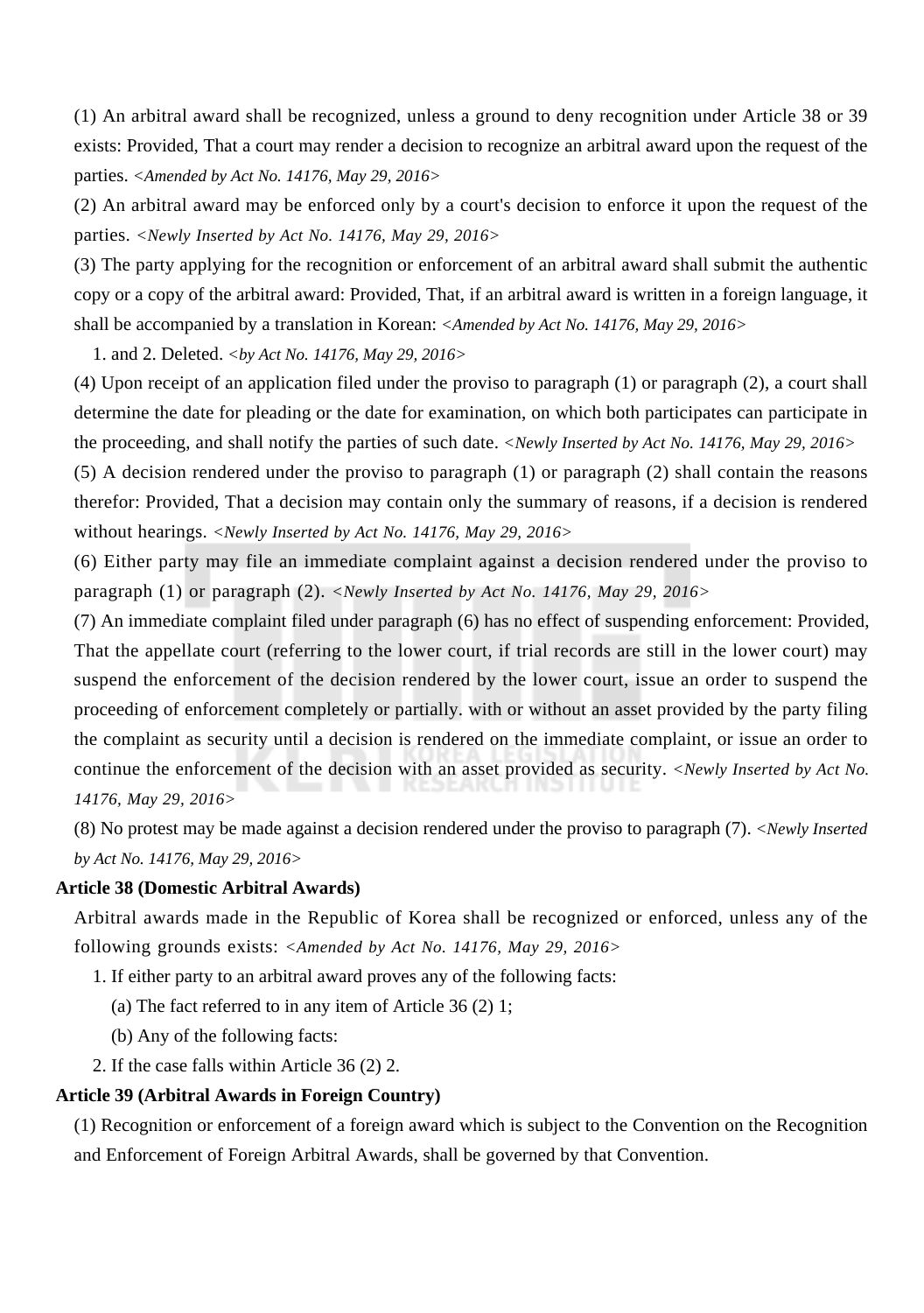(1) An arbitral award shall be recognized, unless a ground to deny recognition under Article 38 or 39 exists: Provided, That a court may render a decision to recognize an arbitral award upon the request of the parties. *<Amended by Act No. 14176, May 29, 2016>*

(2) An arbitral award may be enforced only by a court's decision to enforce it upon the request of the parties. *<Newly Inserted by Act No. 14176, May 29, 2016>*

(3) The party applying for the recognition or enforcement of an arbitral award shall submit the authentic copy or a copy of the arbitral award: Provided, That, if an arbitral award is written in a foreign language, it shall be accompanied by a translation in Korean: *<Amended by Act No. 14176, May 29, 2016>*

1. and 2. Deleted. *<by Act No. 14176, May 29, 2016>*

(4) Upon receipt of an application filed under the proviso to paragraph (1) or paragraph (2), a court shall determine the date for pleading or the date for examination, on which both participates can participate in the proceeding, and shall notify the parties of such date. *<Newly Inserted by Act No. 14176, May 29, 2016>*

(5) A decision rendered under the proviso to paragraph (1) or paragraph (2) shall contain the reasons therefor: Provided, That a decision may contain only the summary of reasons, if a decision is rendered without hearings. *<Newly Inserted by Act No. 14176, May 29, 2016>*

(6) Either party may file an immediate complaint against a decision rendered under the proviso to paragraph (1) or paragraph (2). *<Newly Inserted by Act No. 14176, May 29, 2016>*

(7) An immediate complaint filed under paragraph (6) has no effect of suspending enforcement: Provided, That the appellate court (referring to the lower court, if trial records are still in the lower court) may suspend the enforcement of the decision rendered by the lower court, issue an order to suspend the proceeding of enforcement completely or partially. with or without an asset provided by the party filing the complaint as security until a decision is rendered on the immediate complaint, or issue an order to continue the enforcement of the decision with an asset provided as security. *<Newly Inserted by Act No. 14176, May 29, 2016>*

(8) No protest may be made against a decision rendered under the proviso to paragraph (7). *<Newly Inserted by Act No. 14176, May 29, 2016>*

#### **Article 38 (Domestic Arbitral Awards)**

Arbitral awards made in the Republic of Korea shall be recognized or enforced, unless any of the following grounds exists: *<Amended by Act No. 14176, May 29, 2016>*

1. If either party to an arbitral award proves any of the following facts:

(a) The fact referred to in any item of Article 36 (2) 1;

- (b) Any of the following facts:
- 2. If the case falls within Article 36 (2) 2.

## **Article 39 (Arbitral Awards in Foreign Country)**

(1) Recognition or enforcement of a foreign award which is subject to the Convention on the Recognition and Enforcement of Foreign Arbitral Awards, shall be governed by that Convention.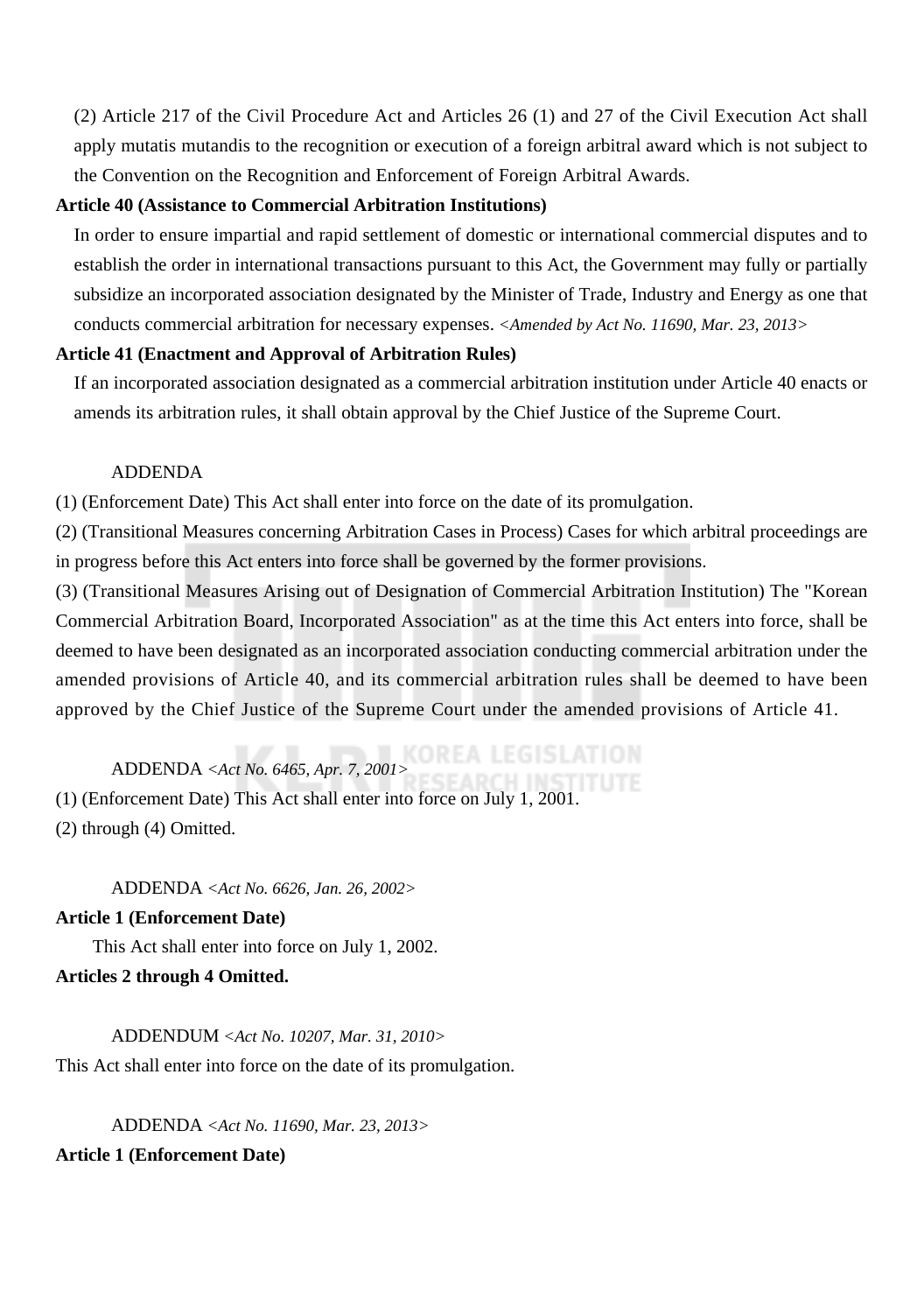(2) Article 217 of the Civil Procedure Act and Articles 26 (1) and 27 of the Civil Execution Act shall apply mutatis mutandis to the recognition or execution of a foreign arbitral award which is not subject to the Convention on the Recognition and Enforcement of Foreign Arbitral Awards.

#### **Article 40 (Assistance to Commercial Arbitration Institutions)**

In order to ensure impartial and rapid settlement of domestic or international commercial disputes and to establish the order in international transactions pursuant to this Act, the Government may fully or partially subsidize an incorporated association designated by the Minister of Trade, Industry and Energy as one that conducts commercial arbitration for necessary expenses. *<Amended by Act No. 11690, Mar. 23, 2013>*

## **Article 41 (Enactment and Approval of Arbitration Rules)**

If an incorporated association designated as a commercial arbitration institution under Article 40 enacts or amends its arbitration rules, it shall obtain approval by the Chief Justice of the Supreme Court.

## ADDENDA

(1) (Enforcement Date) This Act shall enter into force on the date of its promulgation.

(2) (Transitional Measures concerning Arbitration Cases in Process) Cases for which arbitral proceedings are in progress before this Act enters into force shall be governed by the former provisions.

(3) (Transitional Measures Arising out of Designation of Commercial Arbitration Institution) The "Korean Commercial Arbitration Board, Incorporated Association" as at the time this Act enters into force, shall be deemed to have been designated as an incorporated association conducting commercial arbitration under the amended provisions of Article 40, and its commercial arbitration rules shall be deemed to have been approved by the Chief Justice of the Supreme Court under the amended provisions of Article 41.

## ADDENDA *<Act No. 6465, Apr. 7, 2001>*

(1) (Enforcement Date) This Act shall enter into force on July 1, 2001. (2) through (4) Omitted.

ADDENDA *<Act No. 6626, Jan. 26, 2002>*

#### **Article 1 (Enforcement Date)**

This Act shall enter into force on July 1, 2002.

## **Articles 2 through 4 Omitted.**

ADDENDUM *<Act No. 10207, Mar. 31, 2010>* This Act shall enter into force on the date of its promulgation.

ADDENDA *<Act No. 11690, Mar. 23, 2013>* **Article 1 (Enforcement Date)**